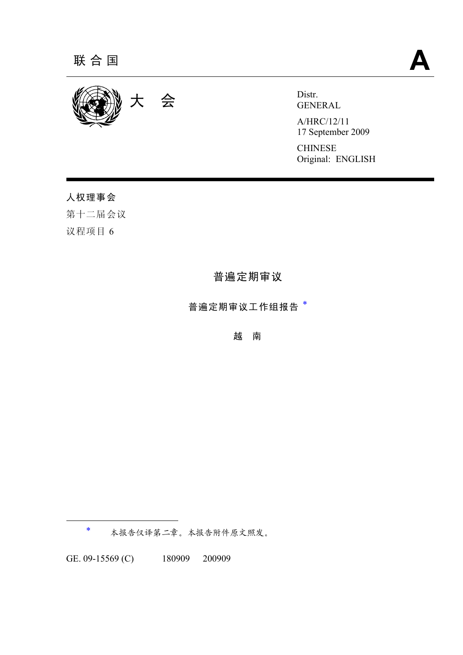

GENERAL

A/HRC/12/11 17 September 2009

CHINESE Original: ENGLISH

## 人权理事会

第十二届会议 议程项目 6

 $\overline{a}$ 

# 普遍定期审议

普遍定期审议工作组报告 \*

越 南

\* 本报告仅译第二章。本报告附件原文照发。

GE. 09-15569 (C) 180909 200909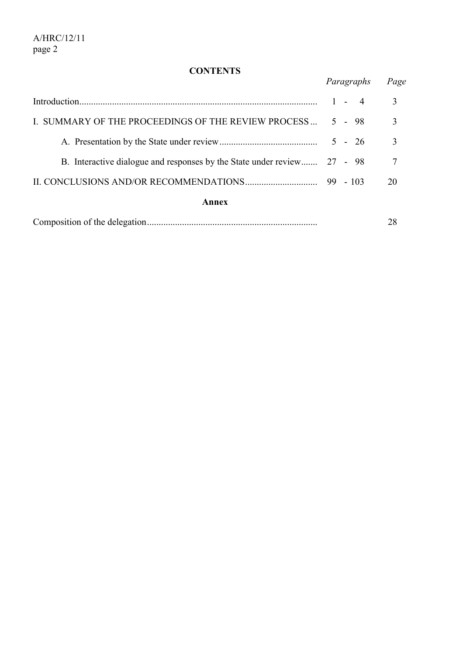# **CONTENTS**

| UUN LEN LO                                                              |            |      |
|-------------------------------------------------------------------------|------------|------|
|                                                                         | Paragraphs | Page |
|                                                                         | $1 - 4$    | 3    |
| I. SUMMARY OF THE PROCEEDINGS OF THE REVIEW PROCESS                     | $5 - 98$   | 3    |
|                                                                         |            | 3    |
| B. Interactive dialogue and responses by the State under review 27 - 98 |            | 7    |
|                                                                         |            | 20   |
| Annex                                                                   |            |      |
|                                                                         |            | 28   |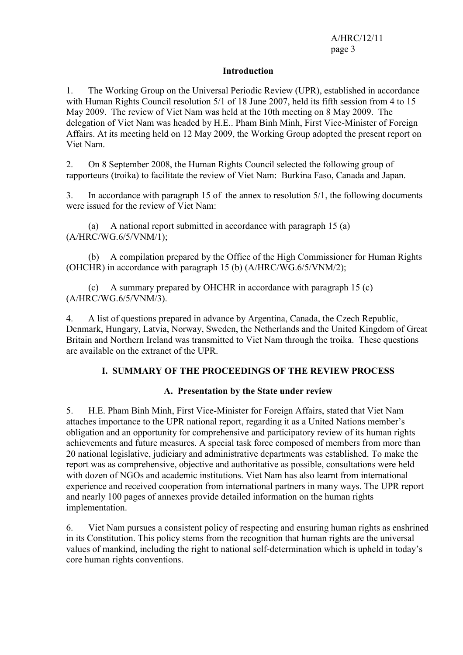#### **Introduction**

1. The Working Group on the Universal Periodic Review (UPR), established in accordance with Human Rights Council resolution 5/1 of 18 June 2007, held its fifth session from 4 to 15 May 2009. The review of Viet Nam was held at the 10th meeting on 8 May 2009. The delegation of Viet Nam was headed by H.E.. Pham Binh Minh, First Vice-Minister of Foreign Affairs. At its meeting held on 12 May 2009, the Working Group adopted the present report on Viet Nam.

2. On 8 September 2008, the Human Rights Council selected the following group of rapporteurs (troika) to facilitate the review of Viet Nam: Burkina Faso, Canada and Japan.

3. In accordance with paragraph 15 of the annex to resolution 5/1, the following documents were issued for the review of Viet Nam:

 (a) A national report submitted in accordance with paragraph 15 (a) (A/HRC/WG.6/5/VNM/1);

 (b) A compilation prepared by the Office of the High Commissioner for Human Rights (OHCHR) in accordance with paragraph 15 (b) (A/HRC/WG.6/5/VNM/2);

 (c) A summary prepared by OHCHR in accordance with paragraph 15 (c) (A/HRC/WG.6/5/VNM/3).

4. A list of questions prepared in advance by Argentina, Canada, the Czech Republic, Denmark, Hungary, Latvia, Norway, Sweden, the Netherlands and the United Kingdom of Great Britain and Northern Ireland was transmitted to Viet Nam through the troika. These questions are available on the extranet of the UPR.

## **I. SUMMARY OF THE PROCEEDINGS OF THE REVIEW PROCESS**

#### **A. Presentation by the State under review**

5. H.E. Pham Binh Minh, First Vice-Minister for Foreign Affairs, stated that Viet Nam attaches importance to the UPR national report, regarding it as a United Nations member's obligation and an opportunity for comprehensive and participatory review of its human rights achievements and future measures. A special task force composed of members from more than 20 national legislative, judiciary and administrative departments was established. To make the report was as comprehensive, objective and authoritative as possible, consultations were held with dozen of NGOs and academic institutions. Viet Nam has also learnt from international experience and received cooperation from international partners in many ways. The UPR report and nearly 100 pages of annexes provide detailed information on the human rights implementation.

6. Viet Nam pursues a consistent policy of respecting and ensuring human rights as enshrined in its Constitution. This policy stems from the recognition that human rights are the universal values of mankind, including the right to national self-determination which is upheld in today's core human rights conventions.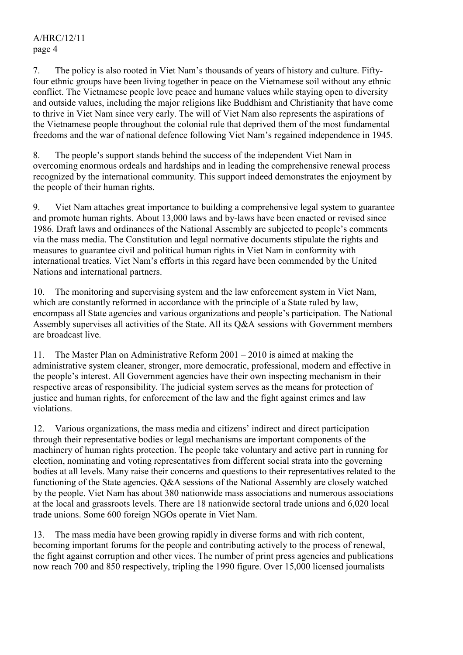7. The policy is also rooted in Viet Nam's thousands of years of history and culture. Fiftyfour ethnic groups have been living together in peace on the Vietnamese soil without any ethnic conflict. The Vietnamese people love peace and humane values while staying open to diversity and outside values, including the major religions like Buddhism and Christianity that have come to thrive in Viet Nam since very early. The will of Viet Nam also represents the aspirations of the Vietnamese people throughout the colonial rule that deprived them of the most fundamental freedoms and the war of national defence following Viet Nam's regained independence in 1945.

8. The people's support stands behind the success of the independent Viet Nam in overcoming enormous ordeals and hardships and in leading the comprehensive renewal process recognized by the international community. This support indeed demonstrates the enjoyment by the people of their human rights.

9. Viet Nam attaches great importance to building a comprehensive legal system to guarantee and promote human rights. About 13,000 laws and by-laws have been enacted or revised since 1986. Draft laws and ordinances of the National Assembly are subjected to people's comments via the mass media. The Constitution and legal normative documents stipulate the rights and measures to guarantee civil and political human rights in Viet Nam in conformity with international treaties. Viet Nam's efforts in this regard have been commended by the United Nations and international partners.

10. The monitoring and supervising system and the law enforcement system in Viet Nam, which are constantly reformed in accordance with the principle of a State ruled by law, encompass all State agencies and various organizations and people's participation. The National Assembly supervises all activities of the State. All its Q&A sessions with Government members are broadcast live.

11. The Master Plan on Administrative Reform 2001 – 2010 is aimed at making the administrative system cleaner, stronger, more democratic, professional, modern and effective in the people's interest. All Government agencies have their own inspecting mechanism in their respective areas of responsibility. The judicial system serves as the means for protection of justice and human rights, for enforcement of the law and the fight against crimes and law violations.

12. Various organizations, the mass media and citizens' indirect and direct participation through their representative bodies or legal mechanisms are important components of the machinery of human rights protection. The people take voluntary and active part in running for election, nominating and voting representatives from different social strata into the governing bodies at all levels. Many raise their concerns and questions to their representatives related to the functioning of the State agencies. Q&A sessions of the National Assembly are closely watched by the people. Viet Nam has about 380 nationwide mass associations and numerous associations at the local and grassroots levels. There are 18 nationwide sectoral trade unions and 6,020 local trade unions. Some 600 foreign NGOs operate in Viet Nam.

13. The mass media have been growing rapidly in diverse forms and with rich content, becoming important forums for the people and contributing actively to the process of renewal, the fight against corruption and other vices. The number of print press agencies and publications now reach 700 and 850 respectively, tripling the 1990 figure. Over 15,000 licensed journalists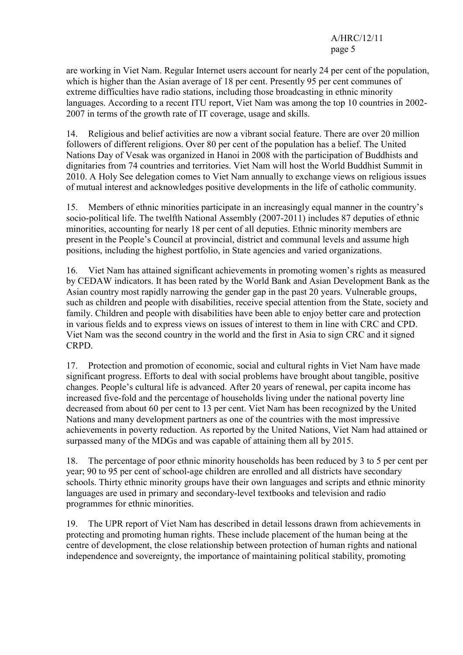are working in Viet Nam. Regular Internet users account for nearly 24 per cent of the population, which is higher than the Asian average of 18 per cent. Presently 95 per cent communes of extreme difficulties have radio stations, including those broadcasting in ethnic minority languages. According to a recent ITU report, Viet Nam was among the top 10 countries in 2002- 2007 in terms of the growth rate of IT coverage, usage and skills.

14. Religious and belief activities are now a vibrant social feature. There are over 20 million followers of different religions. Over 80 per cent of the population has a belief. The United Nations Day of Vesak was organized in Hanoi in 2008 with the participation of Buddhists and dignitaries from 74 countries and territories. Viet Nam will host the World Buddhist Summit in 2010. A Holy See delegation comes to Viet Nam annually to exchange views on religious issues of mutual interest and acknowledges positive developments in the life of catholic community.

15. Members of ethnic minorities participate in an increasingly equal manner in the country's socio-political life. The twelfth National Assembly (2007-2011) includes 87 deputies of ethnic minorities, accounting for nearly 18 per cent of all deputies. Ethnic minority members are present in the People's Council at provincial, district and communal levels and assume high positions, including the highest portfolio, in State agencies and varied organizations.

16. Viet Nam has attained significant achievements in promoting women's rights as measured by CEDAW indicators. It has been rated by the World Bank and Asian Development Bank as the Asian country most rapidly narrowing the gender gap in the past 20 years. Vulnerable groups, such as children and people with disabilities, receive special attention from the State, society and family. Children and people with disabilities have been able to enjoy better care and protection in various fields and to express views on issues of interest to them in line with CRC and CPD. Viet Nam was the second country in the world and the first in Asia to sign CRC and it signed CRPD.

17. Protection and promotion of economic, social and cultural rights in Viet Nam have made significant progress. Efforts to deal with social problems have brought about tangible, positive changes. People's cultural life is advanced. After 20 years of renewal, per capita income has increased five-fold and the percentage of households living under the national poverty line decreased from about 60 per cent to 13 per cent. Viet Nam has been recognized by the United Nations and many development partners as one of the countries with the most impressive achievements in poverty reduction. As reported by the United Nations, Viet Nam had attained or surpassed many of the MDGs and was capable of attaining them all by 2015.

18. The percentage of poor ethnic minority households has been reduced by 3 to 5 per cent per year; 90 to 95 per cent of school-age children are enrolled and all districts have secondary schools. Thirty ethnic minority groups have their own languages and scripts and ethnic minority languages are used in primary and secondary-level textbooks and television and radio programmes for ethnic minorities.

19. The UPR report of Viet Nam has described in detail lessons drawn from achievements in protecting and promoting human rights. These include placement of the human being at the centre of development, the close relationship between protection of human rights and national independence and sovereignty, the importance of maintaining political stability, promoting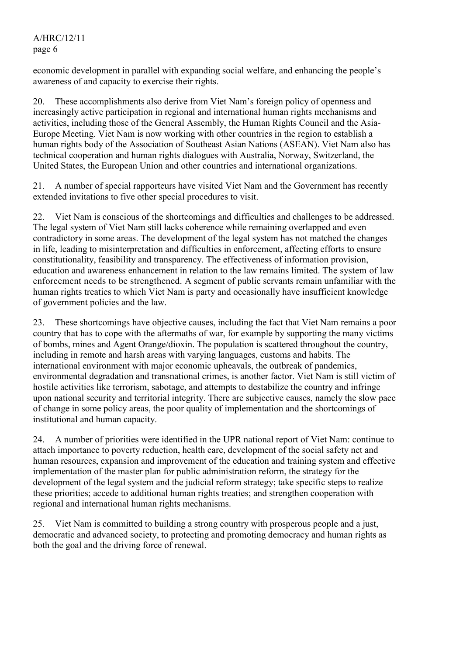economic development in parallel with expanding social welfare, and enhancing the people's awareness of and capacity to exercise their rights.

20. These accomplishments also derive from Viet Nam's foreign policy of openness and increasingly active participation in regional and international human rights mechanisms and activities, including those of the General Assembly, the Human Rights Council and the Asia-Europe Meeting. Viet Nam is now working with other countries in the region to establish a human rights body of the Association of Southeast Asian Nations (ASEAN). Viet Nam also has technical cooperation and human rights dialogues with Australia, Norway, Switzerland, the United States, the European Union and other countries and international organizations.

21. A number of special rapporteurs have visited Viet Nam and the Government has recently extended invitations to five other special procedures to visit.

22. Viet Nam is conscious of the shortcomings and difficulties and challenges to be addressed. The legal system of Viet Nam still lacks coherence while remaining overlapped and even contradictory in some areas. The development of the legal system has not matched the changes in life, leading to misinterpretation and difficulties in enforcement, affecting efforts to ensure constitutionality, feasibility and transparency. The effectiveness of information provision, education and awareness enhancement in relation to the law remains limited. The system of law enforcement needs to be strengthened. A segment of public servants remain unfamiliar with the human rights treaties to which Viet Nam is party and occasionally have insufficient knowledge of government policies and the law.

23. These shortcomings have objective causes, including the fact that Viet Nam remains a poor country that has to cope with the aftermaths of war, for example by supporting the many victims of bombs, mines and Agent Orange/dioxin. The population is scattered throughout the country, including in remote and harsh areas with varying languages, customs and habits. The international environment with major economic upheavals, the outbreak of pandemics, environmental degradation and transnational crimes, is another factor. Viet Nam is still victim of hostile activities like terrorism, sabotage, and attempts to destabilize the country and infringe upon national security and territorial integrity. There are subjective causes, namely the slow pace of change in some policy areas, the poor quality of implementation and the shortcomings of institutional and human capacity.

24. A number of priorities were identified in the UPR national report of Viet Nam: continue to attach importance to poverty reduction, health care, development of the social safety net and human resources, expansion and improvement of the education and training system and effective implementation of the master plan for public administration reform, the strategy for the development of the legal system and the judicial reform strategy; take specific steps to realize these priorities; accede to additional human rights treaties; and strengthen cooperation with regional and international human rights mechanisms.

25. Viet Nam is committed to building a strong country with prosperous people and a just, democratic and advanced society, to protecting and promoting democracy and human rights as both the goal and the driving force of renewal.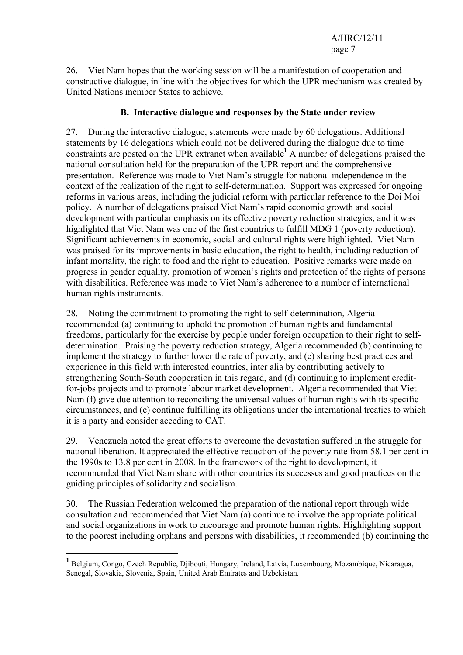26. Viet Nam hopes that the working session will be a manifestation of cooperation and constructive dialogue, in line with the objectives for which the UPR mechanism was created by United Nations member States to achieve.

### **B. Interactive dialogue and responses by the State under review**

27. During the interactive dialogue, statements were made by 60 delegations. Additional statements by 16 delegations which could not be delivered during the dialogue due to time constraints are posted on the UPR extranet when available<sup>1</sup> A number of delegations praised the national consultation held for the preparation of the UPR report and the comprehensive presentation. Reference was made to Viet Nam's struggle for national independence in the context of the realization of the right to self-determination. Support was expressed for ongoing reforms in various areas, including the judicial reform with particular reference to the Doi Moi policy. A number of delegations praised Viet Nam's rapid economic growth and social development with particular emphasis on its effective poverty reduction strategies, and it was highlighted that Viet Nam was one of the first countries to fulfill MDG 1 (poverty reduction). Significant achievements in economic, social and cultural rights were highlighted. Viet Nam was praised for its improvements in basic education, the right to health, including reduction of infant mortality, the right to food and the right to education. Positive remarks were made on progress in gender equality, promotion of women's rights and protection of the rights of persons with disabilities. Reference was made to Viet Nam's adherence to a number of international human rights instruments.

28. Noting the commitment to promoting the right to self-determination, Algeria recommended (a) continuing to uphold the promotion of human rights and fundamental freedoms, particularly for the exercise by people under foreign occupation to their right to selfdetermination. Praising the poverty reduction strategy, Algeria recommended (b) continuing to implement the strategy to further lower the rate of poverty, and (c) sharing best practices and experience in this field with interested countries, inter alia by contributing actively to strengthening South-South cooperation in this regard, and (d) continuing to implement creditfor-jobs projects and to promote labour market development. Algeria recommended that Viet Nam (f) give due attention to reconciling the universal values of human rights with its specific circumstances, and (e) continue fulfilling its obligations under the international treaties to which it is a party and consider acceding to CAT.

29. Venezuela noted the great efforts to overcome the devastation suffered in the struggle for national liberation. It appreciated the effective reduction of the poverty rate from 58.1 per cent in the 1990s to 13.8 per cent in 2008. In the framework of the right to development, it recommended that Viet Nam share with other countries its successes and good practices on the guiding principles of solidarity and socialism.

30. The Russian Federation welcomed the preparation of the national report through wide consultation and recommended that Viet Nam (a) continue to involve the appropriate political and social organizations in work to encourage and promote human rights. Highlighting support to the poorest including orphans and persons with disabilities, it recommended (b) continuing the

 $\overline{a}$ 

**<sup>1</sup>** Belgium, Congo, Czech Republic, Djibouti, Hungary, Ireland, Latvia, Luxembourg, Mozambique, Nicaragua, Senegal, Slovakia, Slovenia, Spain, United Arab Emirates and Uzbekistan.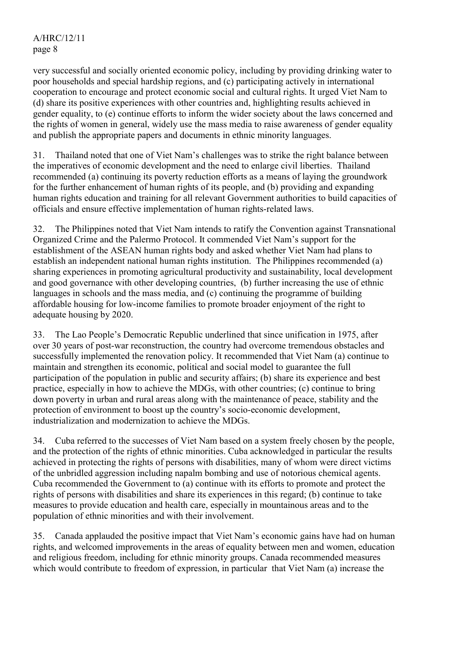very successful and socially oriented economic policy, including by providing drinking water to poor households and special hardship regions, and (c) participating actively in international cooperation to encourage and protect economic social and cultural rights. It urged Viet Nam to (d) share its positive experiences with other countries and, highlighting results achieved in gender equality, to (e) continue efforts to inform the wider society about the laws concerned and the rights of women in general, widely use the mass media to raise awareness of gender equality and publish the appropriate papers and documents in ethnic minority languages.

31. Thailand noted that one of Viet Nam's challenges was to strike the right balance between the imperatives of economic development and the need to enlarge civil liberties. Thailand recommended (a) continuing its poverty reduction efforts as a means of laying the groundwork for the further enhancement of human rights of its people, and (b) providing and expanding human rights education and training for all relevant Government authorities to build capacities of officials and ensure effective implementation of human rights-related laws.

32. The Philippines noted that Viet Nam intends to ratify the Convention against Transnational Organized Crime and the Palermo Protocol. It commended Viet Nam's support for the establishment of the ASEAN human rights body and asked whether Viet Nam had plans to establish an independent national human rights institution. The Philippines recommended (a) sharing experiences in promoting agricultural productivity and sustainability, local development and good governance with other developing countries, (b) further increasing the use of ethnic languages in schools and the mass media, and (c) continuing the programme of building affordable housing for low-income families to promote broader enjoyment of the right to adequate housing by 2020.

33. The Lao People's Democratic Republic underlined that since unification in 1975, after over 30 years of post-war reconstruction, the country had overcome tremendous obstacles and successfully implemented the renovation policy. It recommended that Viet Nam (a) continue to maintain and strengthen its economic, political and social model to guarantee the full participation of the population in public and security affairs; (b) share its experience and best practice, especially in how to achieve the MDGs, with other countries; (c) continue to bring down poverty in urban and rural areas along with the maintenance of peace, stability and the protection of environment to boost up the country's socio-economic development, industrialization and modernization to achieve the MDGs.

34. Cuba referred to the successes of Viet Nam based on a system freely chosen by the people, and the protection of the rights of ethnic minorities. Cuba acknowledged in particular the results achieved in protecting the rights of persons with disabilities, many of whom were direct victims of the unbridled aggression including napalm bombing and use of notorious chemical agents. Cuba recommended the Government to (a) continue with its efforts to promote and protect the rights of persons with disabilities and share its experiences in this regard; (b) continue to take measures to provide education and health care, especially in mountainous areas and to the population of ethnic minorities and with their involvement.

35. Canada applauded the positive impact that Viet Nam's economic gains have had on human rights, and welcomed improvements in the areas of equality between men and women, education and religious freedom, including for ethnic minority groups. Canada recommended measures which would contribute to freedom of expression, in particular that Viet Nam (a) increase the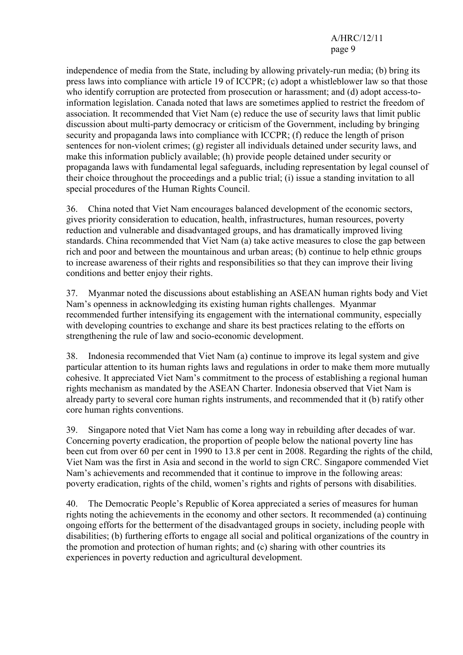independence of media from the State, including by allowing privately-run media; (b) bring its press laws into compliance with article 19 of ICCPR; (c) adopt a whistleblower law so that those who identify corruption are protected from prosecution or harassment; and (d) adopt access-toinformation legislation. Canada noted that laws are sometimes applied to restrict the freedom of association. It recommended that Viet Nam (e) reduce the use of security laws that limit public discussion about multi-party democracy or criticism of the Government, including by bringing security and propaganda laws into compliance with ICCPR; (f) reduce the length of prison sentences for non-violent crimes; (g) register all individuals detained under security laws, and make this information publicly available; (h) provide people detained under security or propaganda laws with fundamental legal safeguards, including representation by legal counsel of their choice throughout the proceedings and a public trial; (i) issue a standing invitation to all special procedures of the Human Rights Council.

36. China noted that Viet Nam encourages balanced development of the economic sectors, gives priority consideration to education, health, infrastructures, human resources, poverty reduction and vulnerable and disadvantaged groups, and has dramatically improved living standards. China recommended that Viet Nam (a) take active measures to close the gap between rich and poor and between the mountainous and urban areas; (b) continue to help ethnic groups to increase awareness of their rights and responsibilities so that they can improve their living conditions and better enjoy their rights.

37. Myanmar noted the discussions about establishing an ASEAN human rights body and Viet Nam's openness in acknowledging its existing human rights challenges. Myanmar recommended further intensifying its engagement with the international community, especially with developing countries to exchange and share its best practices relating to the efforts on strengthening the rule of law and socio-economic development.

38. Indonesia recommended that Viet Nam (a) continue to improve its legal system and give particular attention to its human rights laws and regulations in order to make them more mutually cohesive. It appreciated Viet Nam's commitment to the process of establishing a regional human rights mechanism as mandated by the ASEAN Charter. Indonesia observed that Viet Nam is already party to several core human rights instruments, and recommended that it (b) ratify other core human rights conventions.

39. Singapore noted that Viet Nam has come a long way in rebuilding after decades of war. Concerning poverty eradication, the proportion of people below the national poverty line has been cut from over 60 per cent in 1990 to 13.8 per cent in 2008. Regarding the rights of the child, Viet Nam was the first in Asia and second in the world to sign CRC. Singapore commended Viet Nam's achievements and recommended that it continue to improve in the following areas: poverty eradication, rights of the child, women's rights and rights of persons with disabilities.

40. The Democratic People's Republic of Korea appreciated a series of measures for human rights noting the achievements in the economy and other sectors. It recommended (a) continuing ongoing efforts for the betterment of the disadvantaged groups in society, including people with disabilities; (b) furthering efforts to engage all social and political organizations of the country in the promotion and protection of human rights; and (c) sharing with other countries its experiences in poverty reduction and agricultural development.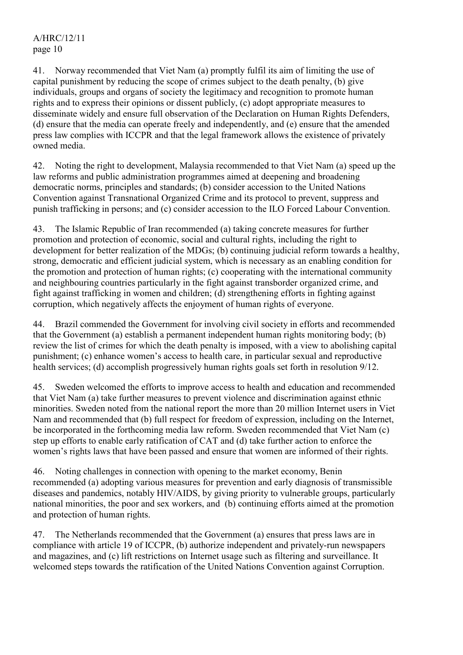41. Norway recommended that Viet Nam (a) promptly fulfil its aim of limiting the use of capital punishment by reducing the scope of crimes subject to the death penalty, (b) give individuals, groups and organs of society the legitimacy and recognition to promote human rights and to express their opinions or dissent publicly, (c) adopt appropriate measures to disseminate widely and ensure full observation of the Declaration on Human Rights Defenders, (d) ensure that the media can operate freely and independently, and (e) ensure that the amended press law complies with ICCPR and that the legal framework allows the existence of privately owned media.

42. Noting the right to development, Malaysia recommended to that Viet Nam (a) speed up the law reforms and public administration programmes aimed at deepening and broadening democratic norms, principles and standards; (b) consider accession to the United Nations Convention against Transnational Organized Crime and its protocol to prevent, suppress and punish trafficking in persons; and (c) consider accession to the ILO Forced Labour Convention.

43. The Islamic Republic of Iran recommended (a) taking concrete measures for further promotion and protection of economic, social and cultural rights, including the right to development for better realization of the MDGs; (b) continuing judicial reform towards a healthy, strong, democratic and efficient judicial system, which is necessary as an enabling condition for the promotion and protection of human rights; (c) cooperating with the international community and neighbouring countries particularly in the fight against transborder organized crime, and fight against trafficking in women and children; (d) strengthening efforts in fighting against corruption, which negatively affects the enjoyment of human rights of everyone.

44. Brazil commended the Government for involving civil society in efforts and recommended that the Government (a) establish a permanent independent human rights monitoring body; (b) review the list of crimes for which the death penalty is imposed, with a view to abolishing capital punishment; (c) enhance women's access to health care, in particular sexual and reproductive health services; (d) accomplish progressively human rights goals set forth in resolution 9/12.

45. Sweden welcomed the efforts to improve access to health and education and recommended that Viet Nam (a) take further measures to prevent violence and discrimination against ethnic minorities. Sweden noted from the national report the more than 20 million Internet users in Viet Nam and recommended that (b) full respect for freedom of expression, including on the Internet, be incorporated in the forthcoming media law reform. Sweden recommended that Viet Nam (c) step up efforts to enable early ratification of CAT and (d) take further action to enforce the women's rights laws that have been passed and ensure that women are informed of their rights.

46. Noting challenges in connection with opening to the market economy, Benin recommended (a) adopting various measures for prevention and early diagnosis of transmissible diseases and pandemics, notably HIV/AIDS, by giving priority to vulnerable groups, particularly national minorities, the poor and sex workers, and (b) continuing efforts aimed at the promotion and protection of human rights.

47. The Netherlands recommended that the Government (a) ensures that press laws are in compliance with article 19 of ICCPR, (b) authorize independent and privately-run newspapers and magazines, and (c) lift restrictions on Internet usage such as filtering and surveillance. It welcomed steps towards the ratification of the United Nations Convention against Corruption.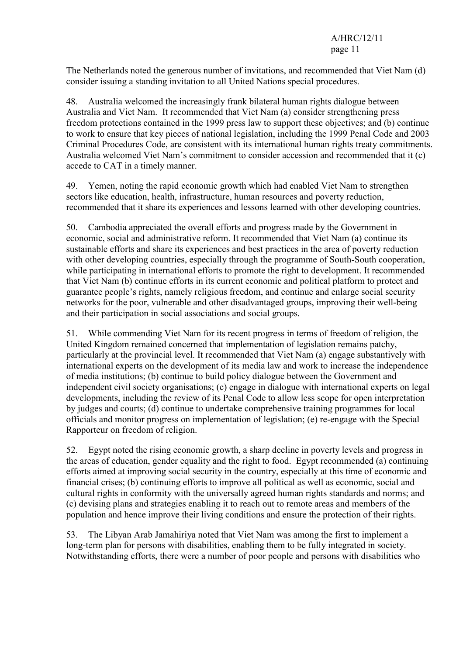The Netherlands noted the generous number of invitations, and recommended that Viet Nam (d) consider issuing a standing invitation to all United Nations special procedures.

48. Australia welcomed the increasingly frank bilateral human rights dialogue between Australia and Viet Nam. It recommended that Viet Nam (a) consider strengthening press freedom protections contained in the 1999 press law to support these objectives; and (b) continue to work to ensure that key pieces of national legislation, including the 1999 Penal Code and 2003 Criminal Procedures Code, are consistent with its international human rights treaty commitments. Australia welcomed Viet Nam's commitment to consider accession and recommended that it (c) accede to CAT in a timely manner.

49. Yemen, noting the rapid economic growth which had enabled Viet Nam to strengthen sectors like education, health, infrastructure, human resources and poverty reduction, recommended that it share its experiences and lessons learned with other developing countries.

50. Cambodia appreciated the overall efforts and progress made by the Government in economic, social and administrative reform. It recommended that Viet Nam (a) continue its sustainable efforts and share its experiences and best practices in the area of poverty reduction with other developing countries, especially through the programme of South-South cooperation, while participating in international efforts to promote the right to development. It recommended that Viet Nam (b) continue efforts in its current economic and political platform to protect and guarantee people's rights, namely religious freedom, and continue and enlarge social security networks for the poor, vulnerable and other disadvantaged groups, improving their well-being and their participation in social associations and social groups.

51. While commending Viet Nam for its recent progress in terms of freedom of religion, the United Kingdom remained concerned that implementation of legislation remains patchy, particularly at the provincial level. It recommended that Viet Nam (a) engage substantively with international experts on the development of its media law and work to increase the independence of media institutions; (b) continue to build policy dialogue between the Government and independent civil society organisations; (c) engage in dialogue with international experts on legal developments, including the review of its Penal Code to allow less scope for open interpretation by judges and courts; (d) continue to undertake comprehensive training programmes for local officials and monitor progress on implementation of legislation; (e) re-engage with the Special Rapporteur on freedom of religion.

52. Egypt noted the rising economic growth, a sharp decline in poverty levels and progress in the areas of education, gender equality and the right to food. Egypt recommended (a) continuing efforts aimed at improving social security in the country, especially at this time of economic and financial crises; (b) continuing efforts to improve all political as well as economic, social and cultural rights in conformity with the universally agreed human rights standards and norms; and (c) devising plans and strategies enabling it to reach out to remote areas and members of the population and hence improve their living conditions and ensure the protection of their rights.

53. The Libyan Arab Jamahiriya noted that Viet Nam was among the first to implement a long-term plan for persons with disabilities, enabling them to be fully integrated in society. Notwithstanding efforts, there were a number of poor people and persons with disabilities who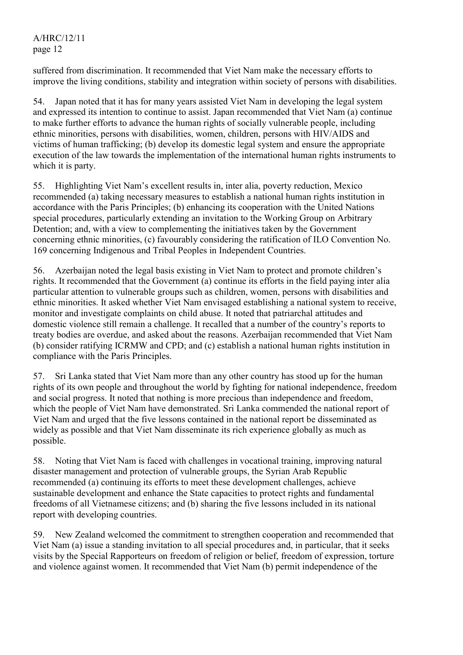suffered from discrimination. It recommended that Viet Nam make the necessary efforts to improve the living conditions, stability and integration within society of persons with disabilities.

54. Japan noted that it has for many years assisted Viet Nam in developing the legal system and expressed its intention to continue to assist. Japan recommended that Viet Nam (a) continue to make further efforts to advance the human rights of socially vulnerable people, including ethnic minorities, persons with disabilities, women, children, persons with HIV/AIDS and victims of human trafficking; (b) develop its domestic legal system and ensure the appropriate execution of the law towards the implementation of the international human rights instruments to which it is party.

55. Highlighting Viet Nam's excellent results in, inter alia, poverty reduction, Mexico recommended (a) taking necessary measures to establish a national human rights institution in accordance with the Paris Principles; (b) enhancing its cooperation with the United Nations special procedures, particularly extending an invitation to the Working Group on Arbitrary Detention; and, with a view to complementing the initiatives taken by the Government concerning ethnic minorities, (c) favourably considering the ratification of ILO Convention No. 169 concerning Indigenous and Tribal Peoples in Independent Countries.

56. Azerbaijan noted the legal basis existing in Viet Nam to protect and promote children's rights. It recommended that the Government (a) continue its efforts in the field paying inter alia particular attention to vulnerable groups such as children, women, persons with disabilities and ethnic minorities. It asked whether Viet Nam envisaged establishing a national system to receive, monitor and investigate complaints on child abuse. It noted that patriarchal attitudes and domestic violence still remain a challenge. It recalled that a number of the country's reports to treaty bodies are overdue, and asked about the reasons. Azerbaijan recommended that Viet Nam (b) consider ratifying ICRMW and CPD; and (c) establish a national human rights institution in compliance with the Paris Principles.

57. Sri Lanka stated that Viet Nam more than any other country has stood up for the human rights of its own people and throughout the world by fighting for national independence, freedom and social progress. It noted that nothing is more precious than independence and freedom, which the people of Viet Nam have demonstrated. Sri Lanka commended the national report of Viet Nam and urged that the five lessons contained in the national report be disseminated as widely as possible and that Viet Nam disseminate its rich experience globally as much as possible.

58. Noting that Viet Nam is faced with challenges in vocational training, improving natural disaster management and protection of vulnerable groups, the Syrian Arab Republic recommended (a) continuing its efforts to meet these development challenges, achieve sustainable development and enhance the State capacities to protect rights and fundamental freedoms of all Vietnamese citizens; and (b) sharing the five lessons included in its national report with developing countries.

59. New Zealand welcomed the commitment to strengthen cooperation and recommended that Viet Nam (a) issue a standing invitation to all special procedures and, in particular, that it seeks visits by the Special Rapporteurs on freedom of religion or belief, freedom of expression, torture and violence against women. It recommended that Viet Nam (b) permit independence of the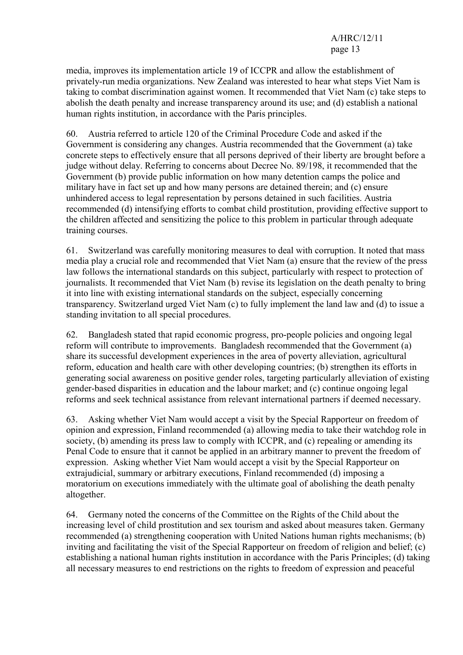media, improves its implementation article 19 of ICCPR and allow the establishment of privately-run media organizations. New Zealand was interested to hear what steps Viet Nam is taking to combat discrimination against women. It recommended that Viet Nam (c) take steps to abolish the death penalty and increase transparency around its use; and (d) establish a national human rights institution, in accordance with the Paris principles.

60. Austria referred to article 120 of the Criminal Procedure Code and asked if the Government is considering any changes. Austria recommended that the Government (a) take concrete steps to effectively ensure that all persons deprived of their liberty are brought before a judge without delay. Referring to concerns about Decree No. 89/198, it recommended that the Government (b) provide public information on how many detention camps the police and military have in fact set up and how many persons are detained therein; and (c) ensure unhindered access to legal representation by persons detained in such facilities. Austria recommended (d) intensifying efforts to combat child prostitution, providing effective support to the children affected and sensitizing the police to this problem in particular through adequate training courses.

61. Switzerland was carefully monitoring measures to deal with corruption. It noted that mass media play a crucial role and recommended that Viet Nam (a) ensure that the review of the press law follows the international standards on this subject, particularly with respect to protection of journalists. It recommended that Viet Nam (b) revise its legislation on the death penalty to bring it into line with existing international standards on the subject, especially concerning transparency. Switzerland urged Viet Nam (c) to fully implement the land law and (d) to issue a standing invitation to all special procedures.

62. Bangladesh stated that rapid economic progress, pro-people policies and ongoing legal reform will contribute to improvements. Bangladesh recommended that the Government (a) share its successful development experiences in the area of poverty alleviation, agricultural reform, education and health care with other developing countries; (b) strengthen its efforts in generating social awareness on positive gender roles, targeting particularly alleviation of existing gender-based disparities in education and the labour market; and (c) continue ongoing legal reforms and seek technical assistance from relevant international partners if deemed necessary.

63. Asking whether Viet Nam would accept a visit by the Special Rapporteur on freedom of opinion and expression, Finland recommended (a) allowing media to take their watchdog role in society, (b) amending its press law to comply with ICCPR, and (c) repealing or amending its Penal Code to ensure that it cannot be applied in an arbitrary manner to prevent the freedom of expression. Asking whether Viet Nam would accept a visit by the Special Rapporteur on extrajudicial, summary or arbitrary executions, Finland recommended (d) imposing a moratorium on executions immediately with the ultimate goal of abolishing the death penalty altogether.

64. Germany noted the concerns of the Committee on the Rights of the Child about the increasing level of child prostitution and sex tourism and asked about measures taken. Germany recommended (a) strengthening cooperation with United Nations human rights mechanisms; (b) inviting and facilitating the visit of the Special Rapporteur on freedom of religion and belief; (c) establishing a national human rights institution in accordance with the Paris Principles; (d) taking all necessary measures to end restrictions on the rights to freedom of expression and peaceful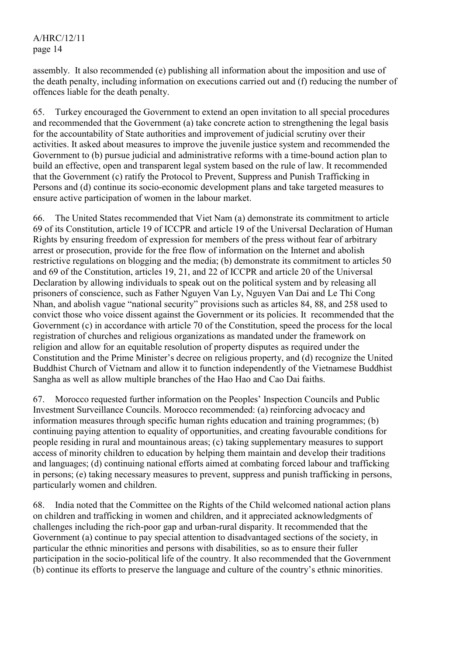assembly. It also recommended (e) publishing all information about the imposition and use of the death penalty, including information on executions carried out and (f) reducing the number of offences liable for the death penalty.

65. Turkey encouraged the Government to extend an open invitation to all special procedures and recommended that the Government (a) take concrete action to strengthening the legal basis for the accountability of State authorities and improvement of judicial scrutiny over their activities. It asked about measures to improve the juvenile justice system and recommended the Government to (b) pursue judicial and administrative reforms with a time-bound action plan to build an effective, open and transparent legal system based on the rule of law. It recommended that the Government (c) ratify the Protocol to Prevent, Suppress and Punish Trafficking in Persons and (d) continue its socio-economic development plans and take targeted measures to ensure active participation of women in the labour market.

66. The United States recommended that Viet Nam (a) demonstrate its commitment to article 69 of its Constitution, article 19 of ICCPR and article 19 of the Universal Declaration of Human Rights by ensuring freedom of expression for members of the press without fear of arbitrary arrest or prosecution, provide for the free flow of information on the Internet and abolish restrictive regulations on blogging and the media; (b) demonstrate its commitment to articles 50 and 69 of the Constitution, articles 19, 21, and 22 of ICCPR and article 20 of the Universal Declaration by allowing individuals to speak out on the political system and by releasing all prisoners of conscience, such as Father Nguyen Van Ly, Nguyen Van Dai and Le Thi Cong Nhan, and abolish vague "national security" provisions such as articles 84, 88, and 258 used to convict those who voice dissent against the Government or its policies. It recommended that the Government (c) in accordance with article 70 of the Constitution, speed the process for the local registration of churches and religious organizations as mandated under the framework on religion and allow for an equitable resolution of property disputes as required under the Constitution and the Prime Minister's decree on religious property, and (d) recognize the United Buddhist Church of Vietnam and allow it to function independently of the Vietnamese Buddhist Sangha as well as allow multiple branches of the Hao Hao and Cao Dai faiths.

67. Morocco requested further information on the Peoples' Inspection Councils and Public Investment Surveillance Councils. Morocco recommended: (a) reinforcing advocacy and information measures through specific human rights education and training programmes; (b) continuing paying attention to equality of opportunities, and creating favourable conditions for people residing in rural and mountainous areas; (c) taking supplementary measures to support access of minority children to education by helping them maintain and develop their traditions and languages; (d) continuing national efforts aimed at combating forced labour and trafficking in persons; (e) taking necessary measures to prevent, suppress and punish trafficking in persons, particularly women and children.

68. India noted that the Committee on the Rights of the Child welcomed national action plans on children and trafficking in women and children, and it appreciated acknowledgments of challenges including the rich-poor gap and urban-rural disparity. It recommended that the Government (a) continue to pay special attention to disadvantaged sections of the society, in particular the ethnic minorities and persons with disabilities, so as to ensure their fuller participation in the socio-political life of the country. It also recommended that the Government (b) continue its efforts to preserve the language and culture of the country's ethnic minorities.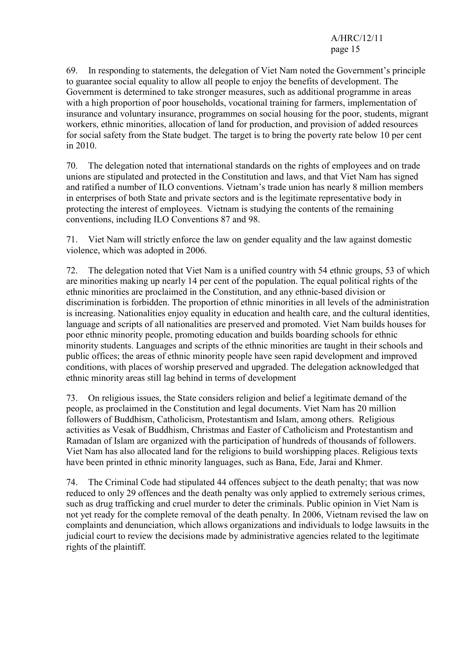69. In responding to statements, the delegation of Viet Nam noted the Government's principle to guarantee social equality to allow all people to enjoy the benefits of development. The Government is determined to take stronger measures, such as additional programme in areas with a high proportion of poor households, vocational training for farmers, implementation of insurance and voluntary insurance, programmes on social housing for the poor, students, migrant workers, ethnic minorities, allocation of land for production, and provision of added resources for social safety from the State budget. The target is to bring the poverty rate below 10 per cent in 2010.

70. The delegation noted that international standards on the rights of employees and on trade unions are stipulated and protected in the Constitution and laws, and that Viet Nam has signed and ratified a number of ILO conventions. Vietnam's trade union has nearly 8 million members in enterprises of both State and private sectors and is the legitimate representative body in protecting the interest of employees. Vietnam is studying the contents of the remaining conventions, including ILO Conventions 87 and 98.

71. Viet Nam will strictly enforce the law on gender equality and the law against domestic violence, which was adopted in 2006.

72. The delegation noted that Viet Nam is a unified country with 54 ethnic groups, 53 of which are minorities making up nearly 14 per cent of the population. The equal political rights of the ethnic minorities are proclaimed in the Constitution, and any ethnic-based division or discrimination is forbidden. The proportion of ethnic minorities in all levels of the administration is increasing. Nationalities enjoy equality in education and health care, and the cultural identities, language and scripts of all nationalities are preserved and promoted. Viet Nam builds houses for poor ethnic minority people, promoting education and builds boarding schools for ethnic minority students. Languages and scripts of the ethnic minorities are taught in their schools and public offices; the areas of ethnic minority people have seen rapid development and improved conditions, with places of worship preserved and upgraded. The delegation acknowledged that ethnic minority areas still lag behind in terms of development

73. On religious issues, the State considers religion and belief a legitimate demand of the people, as proclaimed in the Constitution and legal documents. Viet Nam has 20 million followers of Buddhism, Catholicism, Protestantism and Islam, among others. Religious activities as Vesak of Buddhism, Christmas and Easter of Catholicism and Protestantism and Ramadan of Islam are organized with the participation of hundreds of thousands of followers. Viet Nam has also allocated land for the religions to build worshipping places. Religious texts have been printed in ethnic minority languages, such as Bana, Ede, Jarai and Khmer.

74. The Criminal Code had stipulated 44 offences subject to the death penalty; that was now reduced to only 29 offences and the death penalty was only applied to extremely serious crimes, such as drug trafficking and cruel murder to deter the criminals. Public opinion in Viet Nam is not yet ready for the complete removal of the death penalty. In 2006, Vietnam revised the law on complaints and denunciation, which allows organizations and individuals to lodge lawsuits in the judicial court to review the decisions made by administrative agencies related to the legitimate rights of the plaintiff.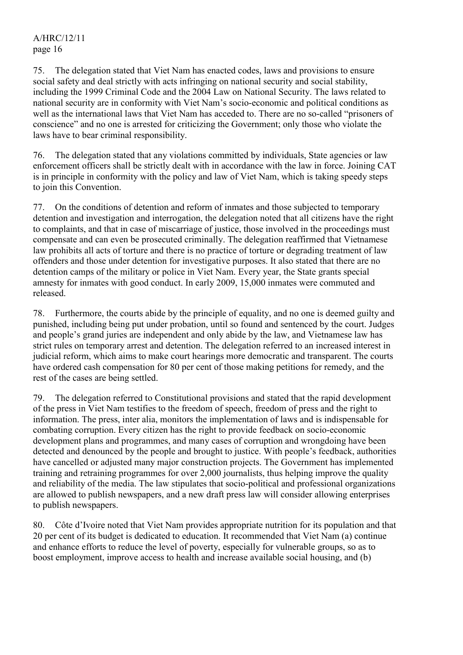75. The delegation stated that Viet Nam has enacted codes, laws and provisions to ensure social safety and deal strictly with acts infringing on national security and social stability, including the 1999 Criminal Code and the 2004 Law on National Security. The laws related to national security are in conformity with Viet Nam's socio-economic and political conditions as well as the international laws that Viet Nam has acceded to. There are no so-called "prisoners of conscience" and no one is arrested for criticizing the Government; only those who violate the laws have to bear criminal responsibility.

76. The delegation stated that any violations committed by individuals, State agencies or law enforcement officers shall be strictly dealt with in accordance with the law in force. Joining CAT is in principle in conformity with the policy and law of Viet Nam, which is taking speedy steps to join this Convention.

77. On the conditions of detention and reform of inmates and those subjected to temporary detention and investigation and interrogation, the delegation noted that all citizens have the right to complaints, and that in case of miscarriage of justice, those involved in the proceedings must compensate and can even be prosecuted criminally. The delegation reaffirmed that Vietnamese law prohibits all acts of torture and there is no practice of torture or degrading treatment of law offenders and those under detention for investigative purposes. It also stated that there are no detention camps of the military or police in Viet Nam. Every year, the State grants special amnesty for inmates with good conduct. In early 2009, 15,000 inmates were commuted and released.

78. Furthermore, the courts abide by the principle of equality, and no one is deemed guilty and punished, including being put under probation, until so found and sentenced by the court. Judges and people's grand juries are independent and only abide by the law, and Vietnamese law has strict rules on temporary arrest and detention. The delegation referred to an increased interest in judicial reform, which aims to make court hearings more democratic and transparent. The courts have ordered cash compensation for 80 per cent of those making petitions for remedy, and the rest of the cases are being settled.

79. The delegation referred to Constitutional provisions and stated that the rapid development of the press in Viet Nam testifies to the freedom of speech, freedom of press and the right to information. The press, inter alia, monitors the implementation of laws and is indispensable for combating corruption. Every citizen has the right to provide feedback on socio-economic development plans and programmes, and many cases of corruption and wrongdoing have been detected and denounced by the people and brought to justice. With people's feedback, authorities have cancelled or adjusted many major construction projects. The Government has implemented training and retraining programmes for over 2,000 journalists, thus helping improve the quality and reliability of the media. The law stipulates that socio-political and professional organizations are allowed to publish newspapers, and a new draft press law will consider allowing enterprises to publish newspapers.

80. Côte d'Ivoire noted that Viet Nam provides appropriate nutrition for its population and that 20 per cent of its budget is dedicated to education. It recommended that Viet Nam (a) continue and enhance efforts to reduce the level of poverty, especially for vulnerable groups, so as to boost employment, improve access to health and increase available social housing, and (b)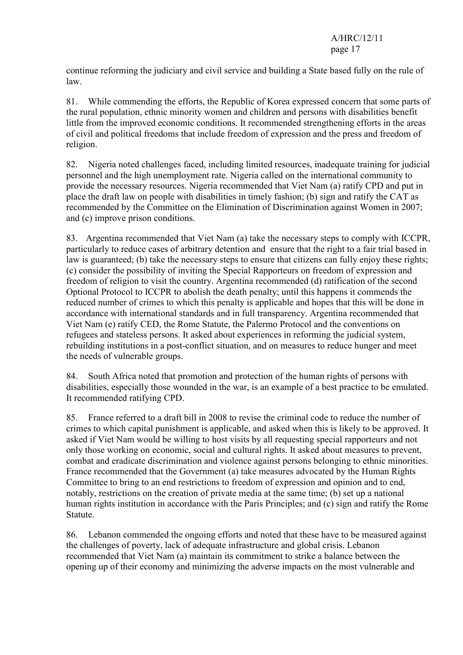continue reforming the judiciary and civil service and building a State based fully on the rule of law.

81. While commending the efforts, the Republic of Korea expressed concern that some parts of the rural population, ethnic minority women and children and persons with disabilities benefit little from the improved economic conditions. It recommended strengthening efforts in the areas of civil and political freedoms that include freedom of expression and the press and freedom of religion.

82. Nigeria noted challenges faced, including limited resources, inadequate training for judicial personnel and the high unemployment rate. Nigeria called on the international community to provide the necessary resources. Nigeria recommended that Viet Nam (a) ratify CPD and put in place the draft law on people with disabilities in timely fashion; (b) sign and ratify the CAT as recommended by the Committee on the Elimination of Discrimination against Women in 2007; and (c) improve prison conditions.

83. Argentina recommended that Viet Nam (a) take the necessary steps to comply with ICCPR, particularly to reduce cases of arbitrary detention and ensure that the right to a fair trial based in law is guaranteed; (b) take the necessary steps to ensure that citizens can fully enjoy these rights; (c) consider the possibility of inviting the Special Rapporteurs on freedom of expression and freedom of religion to visit the country. Argentina recommended (d) ratification of the second Optional Protocol to ICCPR to abolish the death penalty; until this happens it commends the reduced number of crimes to which this penalty is applicable and hopes that this will be done in accordance with international standards and in full transparency. Argentina recommended that Viet Nam (e) ratify CED, the Rome Statute, the Palermo Protocol and the conventions on refugees and stateless persons. It asked about experiences in reforming the judicial system, rebuilding institutions in a post-conflict situation, and on measures to reduce hunger and meet the needs of vulnerable groups.

84. South Africa noted that promotion and protection of the human rights of persons with disabilities, especially those wounded in the war, is an example of a best practice to be emulated. It recommended ratifying CPD.

85. France referred to a draft bill in 2008 to revise the criminal code to reduce the number of crimes to which capital punishment is applicable, and asked when this is likely to be approved. It asked if Viet Nam would be willing to host visits by all requesting special rapporteurs and not only those working on economic, social and cultural rights. It asked about measures to prevent, combat and eradicate discrimination and violence against persons belonging to ethnic minorities. France recommended that the Government (a) take measures advocated by the Human Rights Committee to bring to an end restrictions to freedom of expression and opinion and to end, notably, restrictions on the creation of private media at the same time; (b) set up a national human rights institution in accordance with the Paris Principles; and (c) sign and ratify the Rome Statute.

86. Lebanon commended the ongoing efforts and noted that these have to be measured against the challenges of poverty, lack of adequate infrastructure and global crisis. Lebanon recommended that Viet Nam (a) maintain its commitment to strike a balance between the opening up of their economy and minimizing the adverse impacts on the most vulnerable and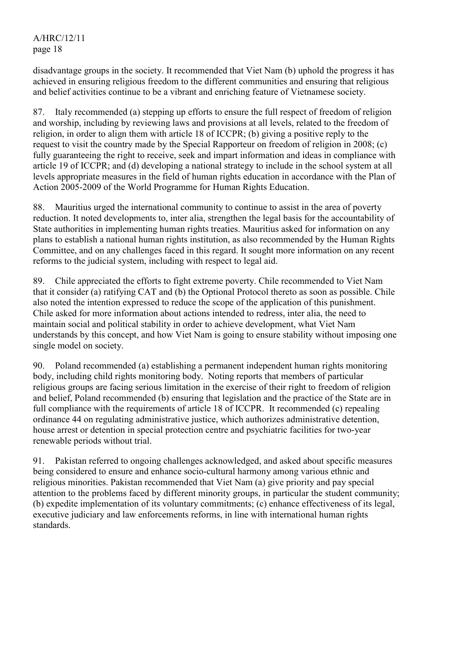disadvantage groups in the society. It recommended that Viet Nam (b) uphold the progress it has achieved in ensuring religious freedom to the different communities and ensuring that religious and belief activities continue to be a vibrant and enriching feature of Vietnamese society.

87. Italy recommended (a) stepping up efforts to ensure the full respect of freedom of religion and worship, including by reviewing laws and provisions at all levels, related to the freedom of religion, in order to align them with article 18 of ICCPR; (b) giving a positive reply to the request to visit the country made by the Special Rapporteur on freedom of religion in 2008; (c) fully guaranteeing the right to receive, seek and impart information and ideas in compliance with article 19 of ICCPR; and (d) developing a national strategy to include in the school system at all levels appropriate measures in the field of human rights education in accordance with the Plan of Action 2005-2009 of the World Programme for Human Rights Education.

88. Mauritius urged the international community to continue to assist in the area of poverty reduction. It noted developments to, inter alia, strengthen the legal basis for the accountability of State authorities in implementing human rights treaties. Mauritius asked for information on any plans to establish a national human rights institution, as also recommended by the Human Rights Committee, and on any challenges faced in this regard. It sought more information on any recent reforms to the judicial system, including with respect to legal aid.

89. Chile appreciated the efforts to fight extreme poverty. Chile recommended to Viet Nam that it consider (a) ratifying CAT and (b) the Optional Protocol thereto as soon as possible. Chile also noted the intention expressed to reduce the scope of the application of this punishment. Chile asked for more information about actions intended to redress, inter alia, the need to maintain social and political stability in order to achieve development, what Viet Nam understands by this concept, and how Viet Nam is going to ensure stability without imposing one single model on society.

90. Poland recommended (a) establishing a permanent independent human rights monitoring body, including child rights monitoring body. Noting reports that members of particular religious groups are facing serious limitation in the exercise of their right to freedom of religion and belief, Poland recommended (b) ensuring that legislation and the practice of the State are in full compliance with the requirements of article 18 of ICCPR. It recommended (c) repealing ordinance 44 on regulating administrative justice, which authorizes administrative detention, house arrest or detention in special protection centre and psychiatric facilities for two-year renewable periods without trial.

91. Pakistan referred to ongoing challenges acknowledged, and asked about specific measures being considered to ensure and enhance socio-cultural harmony among various ethnic and religious minorities. Pakistan recommended that Viet Nam (a) give priority and pay special attention to the problems faced by different minority groups, in particular the student community; (b) expedite implementation of its voluntary commitments; (c) enhance effectiveness of its legal, executive judiciary and law enforcements reforms, in line with international human rights standards.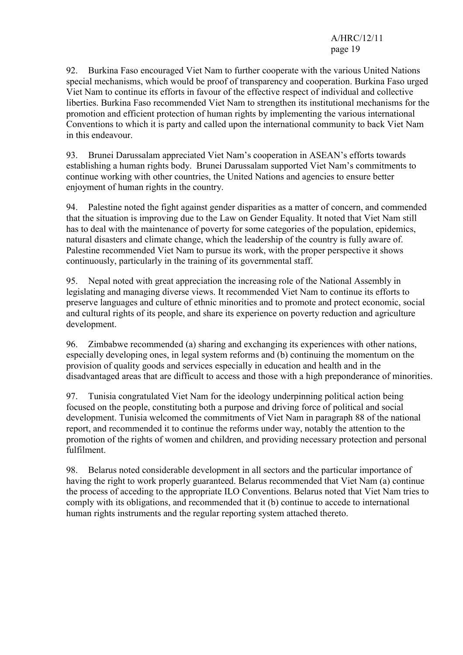92. Burkina Faso encouraged Viet Nam to further cooperate with the various United Nations special mechanisms, which would be proof of transparency and cooperation. Burkina Faso urged Viet Nam to continue its efforts in favour of the effective respect of individual and collective liberties. Burkina Faso recommended Viet Nam to strengthen its institutional mechanisms for the promotion and efficient protection of human rights by implementing the various international Conventions to which it is party and called upon the international community to back Viet Nam in this endeavour.

93. Brunei Darussalam appreciated Viet Nam's cooperation in ASEAN's efforts towards establishing a human rights body. Brunei Darussalam supported Viet Nam's commitments to continue working with other countries, the United Nations and agencies to ensure better enjoyment of human rights in the country.

94. Palestine noted the fight against gender disparities as a matter of concern, and commended that the situation is improving due to the Law on Gender Equality. It noted that Viet Nam still has to deal with the maintenance of poverty for some categories of the population, epidemics, natural disasters and climate change, which the leadership of the country is fully aware of. Palestine recommended Viet Nam to pursue its work, with the proper perspective it shows continuously, particularly in the training of its governmental staff.

95. Nepal noted with great appreciation the increasing role of the National Assembly in legislating and managing diverse views. It recommended Viet Nam to continue its efforts to preserve languages and culture of ethnic minorities and to promote and protect economic, social and cultural rights of its people, and share its experience on poverty reduction and agriculture development.

96. Zimbabwe recommended (a) sharing and exchanging its experiences with other nations, especially developing ones, in legal system reforms and (b) continuing the momentum on the provision of quality goods and services especially in education and health and in the disadvantaged areas that are difficult to access and those with a high preponderance of minorities.

97. Tunisia congratulated Viet Nam for the ideology underpinning political action being focused on the people, constituting both a purpose and driving force of political and social development. Tunisia welcomed the commitments of Viet Nam in paragraph 88 of the national report, and recommended it to continue the reforms under way, notably the attention to the promotion of the rights of women and children, and providing necessary protection and personal fulfilment.

98. Belarus noted considerable development in all sectors and the particular importance of having the right to work properly guaranteed. Belarus recommended that Viet Nam (a) continue the process of acceding to the appropriate ILO Conventions. Belarus noted that Viet Nam tries to comply with its obligations, and recommended that it (b) continue to accede to international human rights instruments and the regular reporting system attached thereto.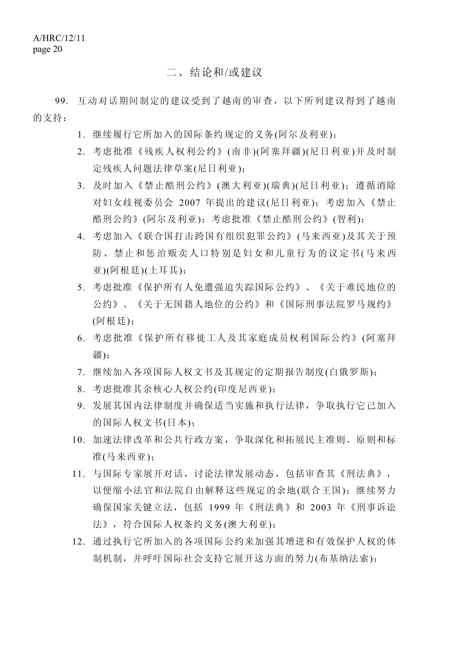## 二、结论和/或建议

 99. 互动对话期间制定的建议受到了越南的审查,以下所列建议得到了越南 的支持:

- 1. 继续履行它所加入的国际条约规定的义务(阿尔及利亚);
- 2. 考虑批准《残疾人权利公约》(南非)(阿塞拜疆)(尼日利亚)并及时制 定残疾人问题法律草案(尼日利亚);
- 3. 及时加入《禁止酷刑公约》(澳大利亚)(瑞典)(尼日利亚);遵循消除 对妇女歧视委员会 2007 年提出的建议(尼日利亚);考虑加入《禁止 酷刑公约》(阿尔及利亚);考虑批准《禁止酷刑公约》(智利);
- 4. 考虑加入《联合国打击跨国有组织犯罪公约》(马来西亚)及其关于预 防、禁止和惩治贩卖人口特别是妇女和儿童行为的议定书(马来西 亚)(阿根廷)(土耳其);
- 5. 考虑批准《保护所有人免遭强迫失踪国际公约》、《关于难民地位的 公约》、《关于无国籍人地位的公约》和《国际刑事法院罗马规约》 (阿根廷);
- 6. 考虑批准《保护所有移徙工人及其家庭成员权利国际公约》(阿塞拜 疆);
- 7. 继续加入各项国际人权文书及其规定的定期报告制度(白俄罗斯);
- 8. 考虑批准其余核心人权公约(印度尼西亚);
- 9. 发展其国内法律制度并确保适当实施和执行法律,争取执行它已加入 的国际人权文书(日本);
- 10. 加速法律改革和公共行政方案,争取深化和拓展民主准则、原则和标 准(马来西亚);
- 11. 与国际专家展开对话,讨论法律发展动态,包括审查其《刑法典》, 以便缩小法官和法院自由解释这些规定的余地(联合王国);继续努力 确保国家关键立法,包括 1999 年《刑法典》和 2003 年《刑事诉讼 法》,符合国际人权条约义务(澳大利亚);
- 12. 通过执行它所加入的各项国际公约来加强其增进和有效保护人权的体 制机制,并呼吁国际社会支持它展开这方面的努力(布基纳法索);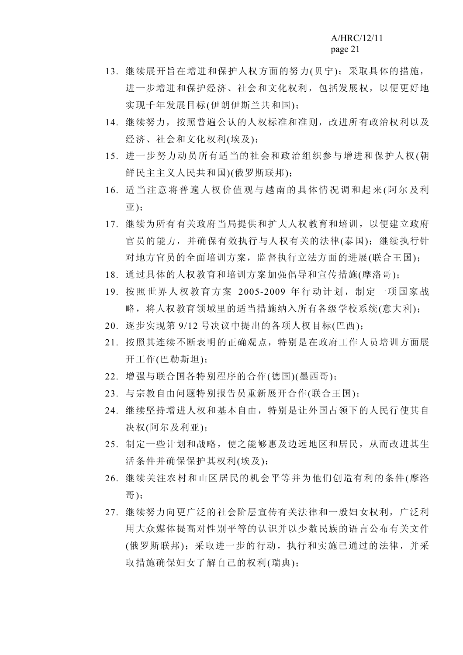- 13. 继续展开旨在增进和保护人权方面的努力(贝宁);采取具体的措施, 进一步增进和保护经济、社会和文化权利,包括发展权,以便更好地 实现千年发展目标(伊朗伊斯兰共和国);
- 14. 继续努力,按照普遍公认的人权标准和准则,改进所有政治权利以及 经济、社会和文化权利(埃及);
- 15. 进一步努力动员所有适当的社会和政治组织参与增进和保护人权(朝 鲜民主主义人民共和国)(俄罗斯联邦);
- 16. 适当注意将普遍人权价值观与越南的具体情况调和起来(阿尔及利 亚);
- 17. 继续为所有有关政府当局提供和扩大人权教育和培训,以便建立政府 官员的能力,并确保有效执行与人权有关的法律(泰国);继续执行针 对地方官员的全面培训方案,监督执行立法方面的进展(联合王国);
- 18. 通过具体的人权教育和培训方案加强倡导和宣传措施(摩洛哥);
- 19. 按照世界人权教育方案 2005-2009 年行动计划,制定一项国家战 略,将人权教育领域里的适当措施纳入所有各级学校系统(意大利);
- 20. 逐步实现第 9/12 号决议中提出的各项人权目标(巴西);
- 21. 按照其连续不断表明的正确观点,特别是在政府工作人员培训方面展 开工作(巴勒斯坦);
- 22. 增强与联合国各特别程序的合作(德国)(墨西哥);
- 23. 与宗教自由问题特别报告员重新展开合作(联合王国);
- 24. 继续坚持增进人权和基本自由,特别是让外国占领下的人民行使其自 决权(阿尔及利亚);
- 25. 制定一些计划和战略,使之能够惠及边远地区和居民,从而改进其生 活条件并确保保护其权利(埃及);
- 26. 继续关注农村和山区居民的机会平等并为他们创造有利的条件(摩洛 哥);
- 27. 继续努力向更广泛的社会阶层宣传有关法律和一般妇女权利,广泛利 用大众媒体提高对性别平等的认识并以少数民族的语言公布有关文件 (俄罗斯联邦);采取进一步的行动,执行和实施已通过的法律,并采 取措施确保妇女了解自己的权利(瑞典);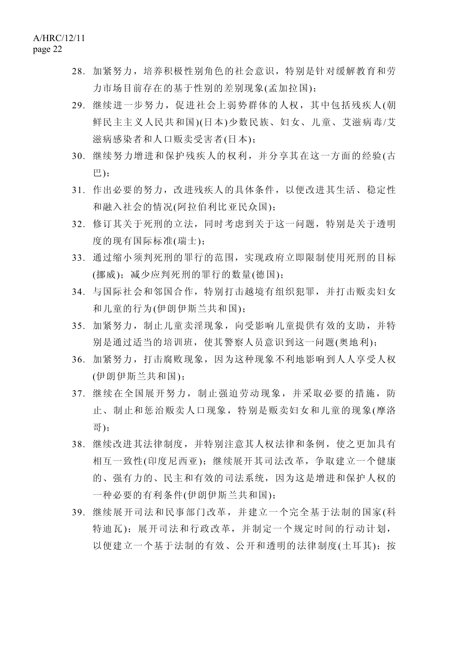- 28. 加紧努力,培养积极性别角色的社会意识,特别是针对缓解教育和劳 力市场目前存在的基于性别的差别现象(孟加拉国);
- 29. 继续进一步努力,促进社会上弱势群体的人权,其中包括残疾人(朝 鲜民主主义人民共和国)(日本)少数民族、妇女、儿童、艾滋病毒/艾 滋病感染者和人口贩卖受害者(日本);
- 30. 继续努力增进和保护残疾人的权利,并分享其在这一方面的经验(古 巴);
- 31. 作出必要的努力,改进残疾人的具体条件,以便改进其生活、稳定性 和融入社会的情况(阿拉伯利比亚民众国);
- 32. 修订其关于死刑的立法,同时考虑到关于这一问题,特别是关于透明 度的现有国际标准(瑞士);
- 33. 通过缩小须判死刑的罪行的范围,实现政府立即限制使用死刑的目标 (挪威);减少应判死刑的罪行的数量(德国);
- 34. 与国际社会和邻国合作,特别打击越境有组织犯罪,并打击贩卖妇女 和儿童的行为(伊朗伊斯兰共和国);
- 35. 加紧努力,制止儿童卖淫现象,向受影响儿童提供有效的支助,并特 别是通过适当的培训班,使其警察人员意识到这一问题(奥地利);
- 36. 加紧努力,打击腐败现象,因为这种现象不利地影响到人人享受人权 (伊朗伊斯兰共和国);
- 37. 继续在全国展开努力,制止强迫劳动现象,并采取必要的措施,防 止、制止和惩治贩卖人口现象,特别是贩卖妇女和儿童的现象(摩洛 哥);
- 38. 继续改进其法律制度,并特别注意其人权法律和条例,使之更加具有 相互一致性(印度尼西亚);继续展开其司法改革,争取建立一个健康 的、强有力的、民主和有效的司法系统,因为这是增进和保护人权的 一种必要的有利条件(伊朗伊斯兰共和国);
- 39. 继续展开司法和民事部门改革,并建立一个完全基于法制的国家(科 特迪瓦);展开司法和行政改革,并制定一个规定时间的行动计划, 以便建立一个基于法制的有效、公开和透明的法律制度(土耳其);按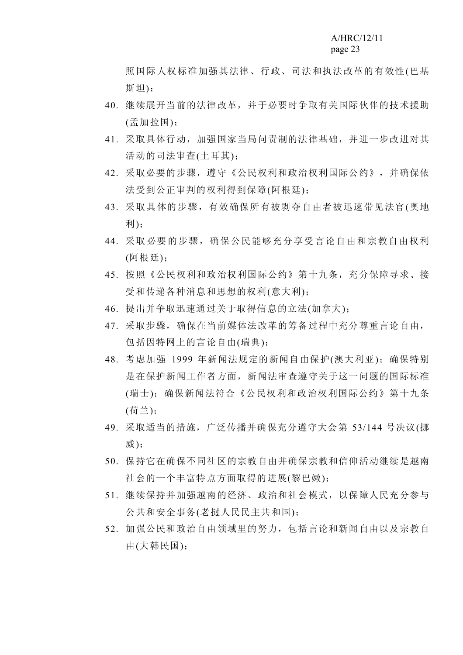照国际人权标准加强其法律、行政、司法和执法改革的有效性(巴基 斯坦);

- 40. 继续展开当前的法律改革,并于必要时争取有关国际伙伴的技术援助 (孟加拉国);
- 41. 采取具体行动,加强国家当局问责制的法律基础,并进一步改进对其 活动的司法审查(土耳其);
- 42. 采取必要的步骤,遵守《公民权利和政治权利国际公约》,并确保依 法受到公正审判的权利得到保障(阿根廷);
- 43. 采取具体的步骤,有效确保所有被剥夺自由者被迅速带见法官(奥地 利);
- 44. 采取必要的步骤,确保公民能够充分享受言论自由和宗教自由权利 (阿根廷);
- 45. 按照《公民权利和政治权利国际公约》第十九条,充分保障寻求、接 受和传递各种消息和思想的权利(意大利);
- 46. 提出并争取迅速通过关于取得信息的立法(加拿大);
- 47. 采取步骤,确保在当前媒体法改革的筹备过程中充分尊重言论自由, 包括因特网上的言论自由(瑞典);
- 48. 考虑加强 1999 年新闻法规定的新闻自由保护(澳大利亚);确保特别 是在保护新闻工作者方面,新闻法审查遵守关于这一问题的国际标准 (瑞士);确保新闻法符合《公民权利和政治权利国际公约》第十九条 (荷兰);
- 49. 采取适当的措施,广泛传播并确保充分遵守大会第 53/144 号决议(挪 威):
- 50. 保持它在确保不同社区的宗教自由并确保宗教和信仰活动继续是越南 社会的一个丰富特点方面取得的进展(黎巴嫩);
- 51. 继续保持并加强越南的经济、政治和社会模式,以保障人民充分参与 公共和安全事务(老挝人民民主共和国);
- 52. 加强公民和政治自由领域里的努力,包括言论和新闻自由以及宗教自 由(大韩民国);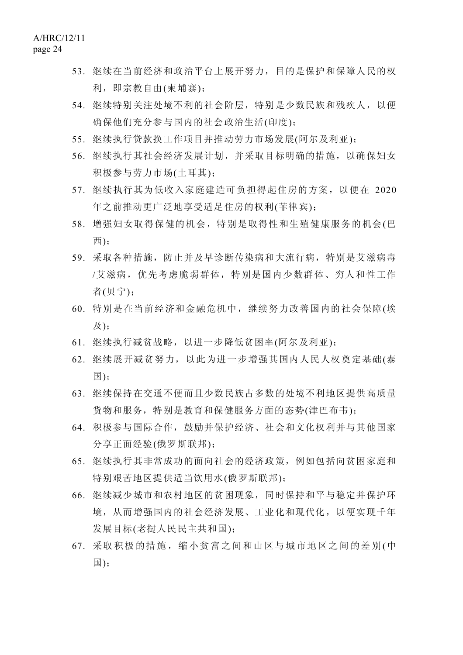- 53. 继续在当前经济和政治平台上展开努力,目的是保护和保障人民的权 利,即宗教自由(柬埔寨);
- 54. 继续特别关注处境不利的社会阶层,特别是少数民族和残疾人,以便 确保他们充分参与国内的社会政治生活(印度);
- 55. 继续执行贷款换工作项目并推动劳力市场发展(阿尔及利亚);
- 56. 继续执行其社会经济发展计划,并采取目标明确的措施,以确保妇女 积极参与劳力市场(土耳其);
- 57. 继续执行其为低收入家庭建造可负担得起住房的方案,以便在 2020 年之前推动更广泛地享受适足住房的权利(菲律宾);
- 58. 增强妇女取得保健的机会,特别是取得性和生殖健康服务的机会(巴 西);
- 59. 采取各种措施,防止并及早诊断传染病和大流行病,特别是艾滋病毒 /艾滋病,优先考虑脆弱群体,特别是国内少数群体、穷人和性工作 者(贝宁);
- 60. 特别是在当前经济和金融危机中,继续努力改善国内的社会保障(埃 及);
- 61. 继续执行减贫战略,以进一步降低贫困率(阿尔及利亚);
- 62. 继续展开减贫努力,以此为进一步增强其国内人民人权奠定基础(泰 国);
- 63. 继续保持在交通不便而且少数民族占多数的处境不利地区提供高质量 货物和服务,特别是教育和保健服务方面的态势(津巴布韦);
- 64. 积极参与国际合作,鼓励并保护经济、社会和文化权利并与其他国家 分享正面经验(俄罗斯联邦);
- 65. 继续执行其非常成功的面向社会的经济政策,例如包括向贫困家庭和 特别艰苦地区提供适当饮用水(俄罗斯联邦);
- 66. 继续减少城市和农村地区的贫困现象,同时保持和平与稳定并保护环 境,从而增强国内的社会经济发展、工业化和现代化,以便实现千年 发展目标(老挝人民民主共和国);
- 67. 采取积极的措施,缩小贫富之间和山区与城市地区之间的差别(中 国);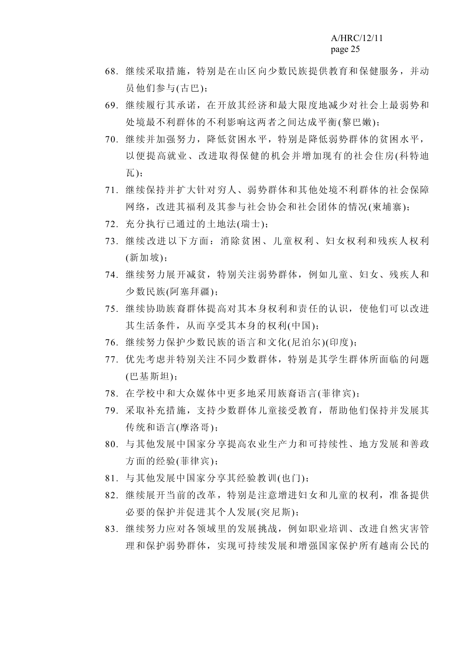- 68. 继续采取措施,特别是在山区向少数民族提供教育和保健服务,并动 员他们参与(古巴);
- 69. 继续履行其承诺,在开放其经济和最大限度地减少对社会上最弱势和 处境最不利群体的不利影响这两者之间达成平衡(黎巴嫩);
- 70. 继续并加强努力,降低贫困水平,特别是降低弱势群体的贫困水平, 以便提高就业、改进取得保健的机会并增加现有的社会住房(科特迪 瓦);
- 71. 继续保持并扩大针对穷人、弱势群体和其他处境不利群体的社会保障 网络,改进其福利及其参与社会协会和社会团体的情况(柬埔寨);
- 72. 充分执行已通过的土地法(瑞士);
- 73. 继续改进以下方面:消除贫困、儿童权利、妇女权利和残疾人权利 (新加坡);
- 74. 继续努力展开减贫,特别关注弱势群体,例如儿童、妇女、残疾人和 少数民族(阿塞拜疆);
- 75. 继续协助族裔群体提高对其本身权利和责任的认识,使他们可以改进 其生活条件,从而享受其本身的权利(中国);
- 76. 继续努力保护少数民族的语言和文化(尼泊尔)(印度);
- 77. 优先考虑并特别关注不同少数群体,特别是其学生群体所面临的问题 (巴基斯坦);
- 78. 在学校中和大众媒体中更多地采用族裔语言(菲律宾);
- 79. 采取补充措施,支持少数群体儿童接受教育,帮助他们保持并发展其 传统和语言(摩洛哥);
- 80. 与其他发展中国家分享提高农业生产力和可持续性、地方发展和善政 方面的经验(菲律宾);
- 81. 与其他发展中国家分享其经验教训(也门);
- 82. 继续展开当前的改革,特别是注意增进妇女和儿童的权利,准备提供 必要的保护并促进其个人发展(突尼斯);
- 83. 继续努力应对各领域里的发展挑战,例如职业培训、改进自然灾害管 理和保护弱势群体,实现可持续发展和增强国家保护所有越南公民的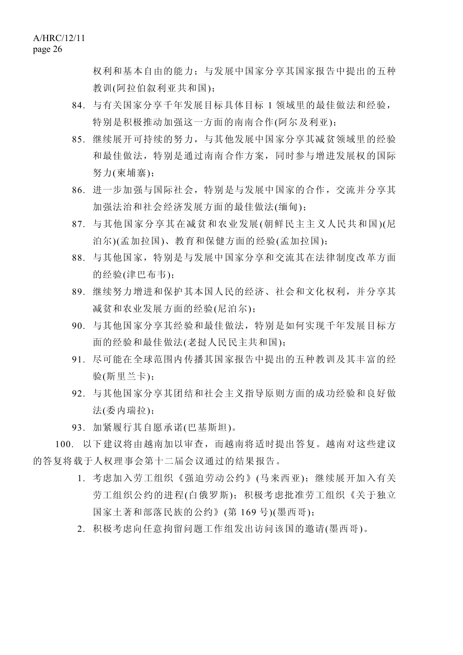权利和基本自由的能力;与发展中国家分享其国家报告中提出的五种 教训(阿拉伯叙利亚共和国);

- 84. 与有关国家分享千年发展目标具体目标 1 领域里的最佳做法和经验, 特别是积极推动加强这一方面的南南合作(阿尔及利亚);
- 85. 继续展开可持续的努力,与其他发展中国家分享其减贫领域里的经验 和最佳做法,特别是通过南南合作方案,同时参与增进发展权的国际 努力(柬埔寨);
- 86. 进一步加强与国际社会,特别是与发展中国家的合作,交流并分享其 加强法治和社会经济发展方面的最佳做法(缅甸);
- 87. 与其他国家分享其在减贫和农业发展(朝鲜民主主义人民共和国)(尼 泊尔)(孟加拉国)、教育和保健方面的经验(孟加拉国);
- 88. 与其他国家,特别是与发展中国家分享和交流其在法律制度改革方面 的经验(津巴布韦);
- 89. 继续努力增进和保护其本国人民的经济、社会和文化权利,并分享其 减贫和农业发展方面的经验(尼泊尔);
- 90. 与其他国家分享其经验和最佳做法,特别是如何实现千年发展目标方 面的经验和最佳做法(老挝人民民主共和国);
- 91. 尽可能在全球范围内传播其国家报告中提出的五种教训及其丰富的经 验(斯里兰卡);
- 92. 与其他国家分享其团结和社会主义指导原则方面的成功经验和良好做 法(委内瑞拉);
- 93. 加紧履行其自愿承诺(巴基斯坦)。

 100. 以下建议将由越南加以审查,而越南将适时提出答复。越南对这些建议 的答复将载于人权理事会第十二届会议通过的结果报告。

- 1. 考虑加入劳工组织《强迫劳动公约》(马来西亚);继续展开加入有关 劳工组织公约的进程(白俄罗斯);积极考虑批准劳工组织《关于独立 国家土著和部落民族的公约》(第 169 号)(墨西哥);
- 2. 积极考虑向任意拘留问题工作组发出访问该国的邀请(墨西哥)。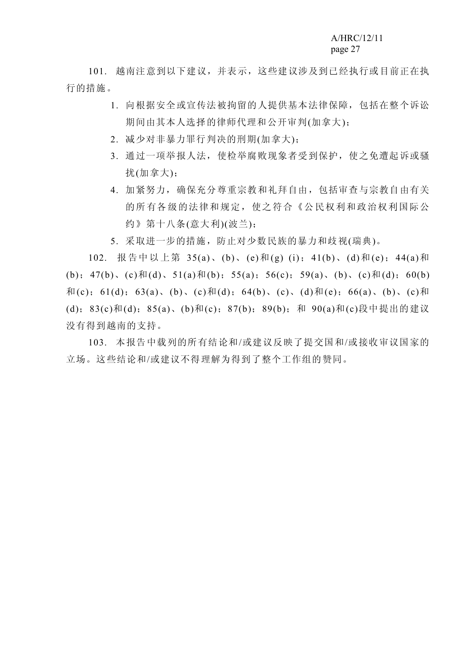101. 越南注意到以下建议,并表示,这些建议涉及到已经执行或目前正在执 行的措施。

- 1. 向根据安全或宣传法被拘留的人提供基本法律保障,包括在整个诉讼 期间由其本人选择的律师代理和公开审判(加拿大);
- 2. 减少对非暴力罪行判决的刑期(加拿大);
- 3. 通过一项举报人法,使检举腐败现象者受到保护,使之免遭起诉或骚 扰(加拿大);
- 4. 加紧努力,确保充分尊重宗教和礼拜自由,包括审查与宗教自由有关 的所有各级的法律和规定,使之符合《公民权利和政治权利国际公 约》第十八条(意大利)(波兰);
- 5. 采取进一步的措施,防止对少数民族的暴力和歧视(瑞典)。

 102. 报告中以上第 35(a)、(b)、(e)和(g) (i);41(b)、(d)和(e);44(a)和 (b);  $47(b)$ 、(c)和(d)、51(a)和(b); 55(a); 56(c); 59(a)、(b)、(c)和(d); 60(b) 和(c); 61(d); 63(a)、(b)、(c)和(d); 64(b)、(c)、(d)和(e); 66(a)、(b)、(c)和 (d); 83(c)和(d); 85(a)、(b)和(c); 87(b); 89(b); 和 90(a)和(c)段中提出的建议 没有得到越南的支持。

 103. 本报告中载列的所有结论和/或建议反映了提交国和/或接收审议国家的 立场。这些结论和/或建议不得理解为得到了整个工作组的赞同。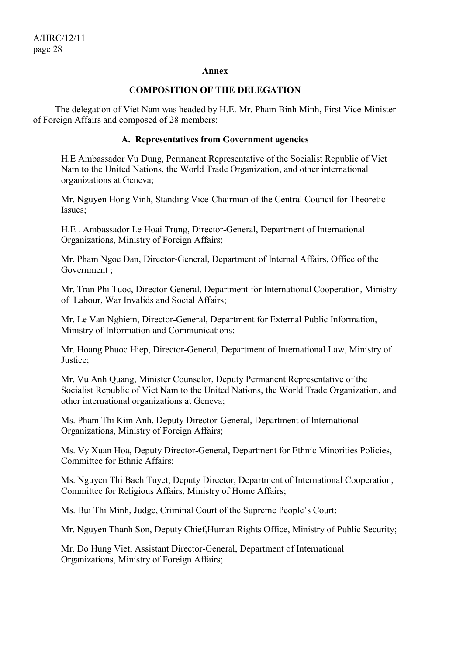#### **Annex**

#### **COMPOSITION OF THE DELEGATION**

 The delegation of Viet Nam was headed by H.E. Mr. Pham Binh Minh, First Vice-Minister of Foreign Affairs and composed of 28 members:

#### **A. Representatives from Government agencies**

H.E Ambassador Vu Dung, Permanent Representative of the Socialist Republic of Viet Nam to the United Nations, the World Trade Organization, and other international organizations at Geneva;

Mr. Nguyen Hong Vinh, Standing Vice-Chairman of the Central Council for Theoretic Issues;

H.E . Ambassador Le Hoai Trung, Director-General, Department of International Organizations, Ministry of Foreign Affairs;

Mr. Pham Ngoc Dan, Director-General, Department of Internal Affairs, Office of the Government ;

Mr. Tran Phi Tuoc, Director-General, Department for International Cooperation, Ministry of Labour, War Invalids and Social Affairs;

Mr. Le Van Nghiem, Director-General, Department for External Public Information, Ministry of Information and Communications;

Mr. Hoang Phuoc Hiep, Director-General, Department of International Law, Ministry of Justice;

Mr. Vu Anh Quang, Minister Counselor, Deputy Permanent Representative of the Socialist Republic of Viet Nam to the United Nations, the World Trade Organization, and other international organizations at Geneva;

Ms. Pham Thi Kim Anh, Deputy Director-General, Department of International Organizations, Ministry of Foreign Affairs;

Ms. Vy Xuan Hoa, Deputy Director-General, Department for Ethnic Minorities Policies, Committee for Ethnic Affairs;

Ms. Nguyen Thi Bach Tuyet, Deputy Director, Department of International Cooperation, Committee for Religious Affairs, Ministry of Home Affairs;

Ms. Bui Thi Minh, Judge, Criminal Court of the Supreme People's Court;

Mr. Nguyen Thanh Son, Deputy Chief,Human Rights Office, Ministry of Public Security;

Mr. Do Hung Viet, Assistant Director-General, Department of International Organizations, Ministry of Foreign Affairs;